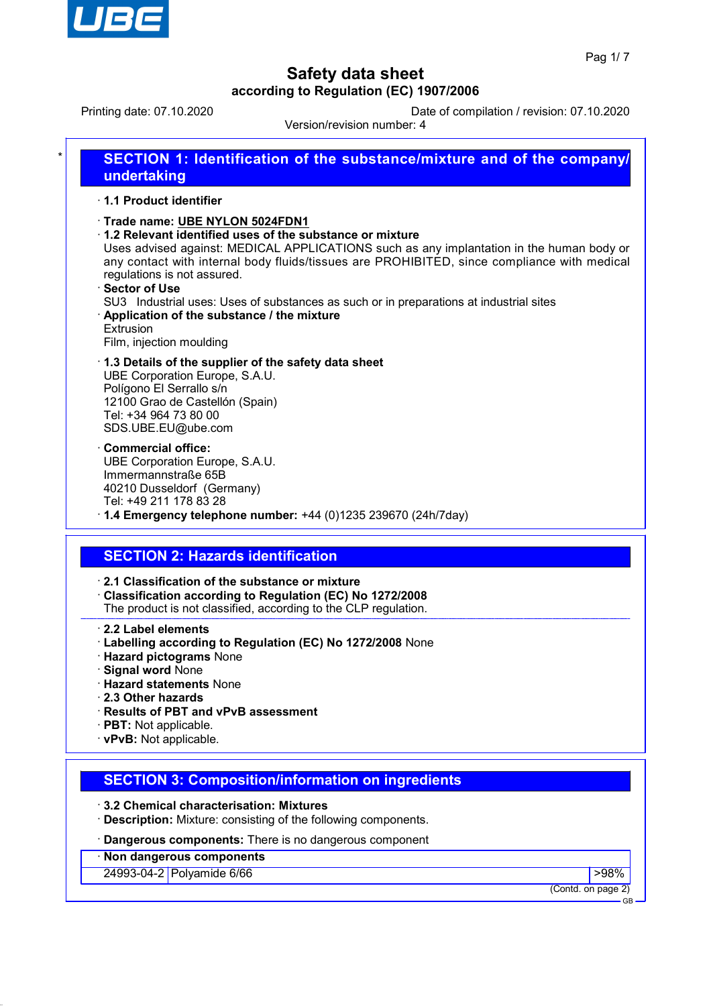

Printing date: 07.10.2020 Date of compilation / revision: 07.10.2020

Version/revision number: 4

|                                    | 1.1 Product identifier                                                                                                                                                                                                                                                                                                                                                                                                                                                                     |
|------------------------------------|--------------------------------------------------------------------------------------------------------------------------------------------------------------------------------------------------------------------------------------------------------------------------------------------------------------------------------------------------------------------------------------------------------------------------------------------------------------------------------------------|
| <b>⋅Sector of Use</b><br>Extrusion | · Trade name: UBE NYLON 5024FDN1<br>1.2 Relevant identified uses of the substance or mixture<br>Uses advised against: MEDICAL APPLICATIONS such as any implantation in the human body or<br>any contact with internal body fluids/tissues are PROHIBITED, since compliance with medical<br>regulations is not assured.<br>SU3 Industrial uses: Uses of substances as such or in preparations at industrial sites<br>Application of the substance / the mixture<br>Film, injection moulding |
|                                    | 1.3 Details of the supplier of the safety data sheet<br>UBE Corporation Europe, S.A.U.<br>Polígono El Serrallo s/n<br>12100 Grao de Castellón (Spain)<br>Tel: +34 964 73 80 00<br>SDS.UBE.EU@ube.com                                                                                                                                                                                                                                                                                       |
|                                    | <b>Commercial office:</b><br>UBE Corporation Europe, S.A.U.<br>Immermannstraße 65B<br>40210 Dusseldorf (Germany)<br>Tel: +49 211 178 83 28<br>$\cdot$ 1.4 Emergency telephone number: +44 (0)1235 239670 (24h/7day)                                                                                                                                                                                                                                                                        |
|                                    | <b>SECTION 2: Hazards identification</b>                                                                                                                                                                                                                                                                                                                                                                                                                                                   |

- · **Labelling according to Regulation (EC) No 1272/2008** None
- · **Hazard pictograms** None
- · **Signal word** None
- · **Hazard statements** None
- · **2.3 Other hazards**
- · **Results of PBT and vPvB assessment**
- · **PBT:** Not applicable.
- · **vPvB:** Not applicable.

## **SECTION 3: Composition/information on ingredients**

- · **3.2 Chemical characterisation: Mixtures**
- · **Description:** Mixture: consisting of the following components.
- · **Dangerous components:** There is no dangerous component

## · **Non dangerous components**

24993-04-2 Polyamide 6/66 **Provide 1988 Provide 1988 Provide 1988 Provide 1988 Provide 1988 Provide 1988 Provide 1988 Provide 1988 Provide 1988 Provide 1988 Provide 1988 Provide 1988 Provide 1988**

(Contd. on page 2)

GB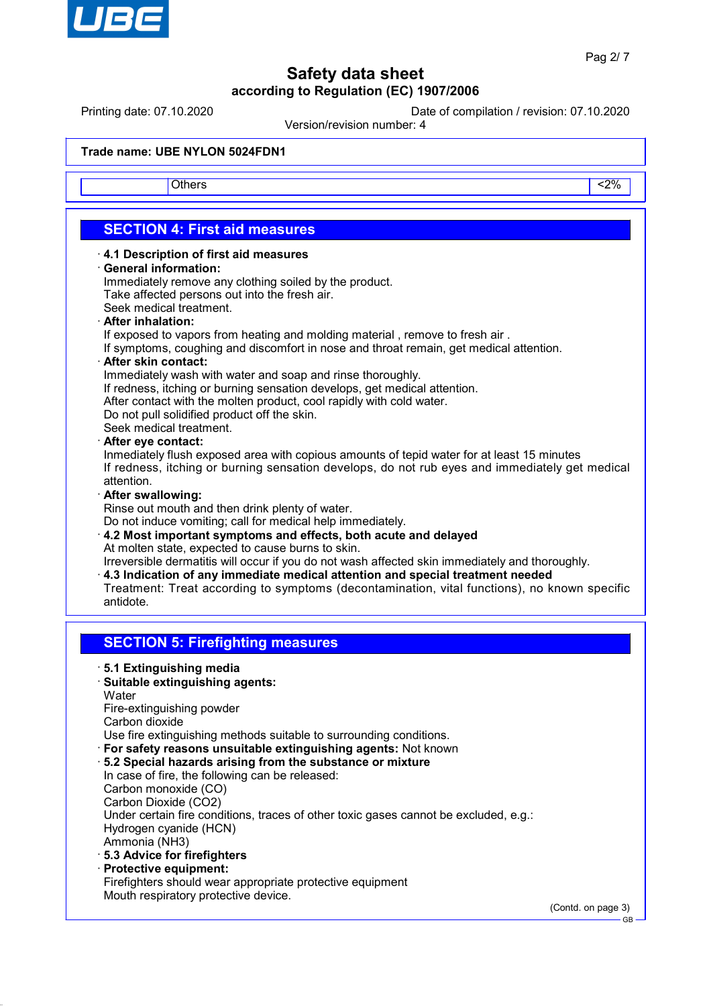

Printing date: 07.10.2020 Date of compilation / revision: 07.10.2020

Version/revision number: 4

### **Trade name: UBE NYLON 5024FDN1**

Others <2%

## **SECTION 4: First aid measures**

- · **4.1 Description of first aid measures**
- · **General information:**

Immediately remove any clothing soiled by the product. Take affected persons out into the fresh air.

- Seek medical treatment.
- · **After inhalation:**

If exposed to vapors from heating and molding material , remove to fresh air .

- If symptoms, coughing and discomfort in nose and throat remain, get medical attention.
- · **After skin contact:**

Immediately wash with water and soap and rinse thoroughly.

- If redness, itching or burning sensation develops, get medical attention.
- After contact with the molten product, cool rapidly with cold water.
- Do not pull solidified product off the skin.

Seek medical treatment.

#### · **After eye contact:**

Inmediately flush exposed area with copious amounts of tepid water for at least 15 minutes If redness, itching or burning sensation develops, do not rub eyes and immediately get medical attention.

#### · **After swallowing:**

Rinse out mouth and then drink plenty of water.

Do not induce vomiting; call for medical help immediately.

· **4.2 Most important symptoms and effects, both acute and delayed** At molten state, expected to cause burns to skin.

Irreversible dermatitis will occur if you do not wash affected skin immediately and thoroughly.

- · **4.3 Indication of any immediate medical attention and special treatment needed**
- Treatment: Treat according to symptoms (decontamination, vital functions), no known specific antidote.

## **SECTION 5: Firefighting measures**

- · **5.1 Extinguishing media**
- · **Suitable extinguishing agents: Water**

Fire-extinguishing powder Carbon dioxide

Use fire extinguishing methods suitable to surrounding conditions.

- · **For safety reasons unsuitable extinguishing agents:** Not known
- · **5.2 Special hazards arising from the substance or mixture** In case of fire, the following can be released: Carbon monoxide (CO) Carbon Dioxide (CO2) Under certain fire conditions, traces of other toxic gases cannot be excluded, e.g.: Hydrogen cyanide (HCN) Ammonia (NH3)
- · **5.3 Advice for firefighters**
- · **Protective equipment:**
- Firefighters should wear appropriate protective equipment Mouth respiratory protective device.

(Contd. on page 3)

GB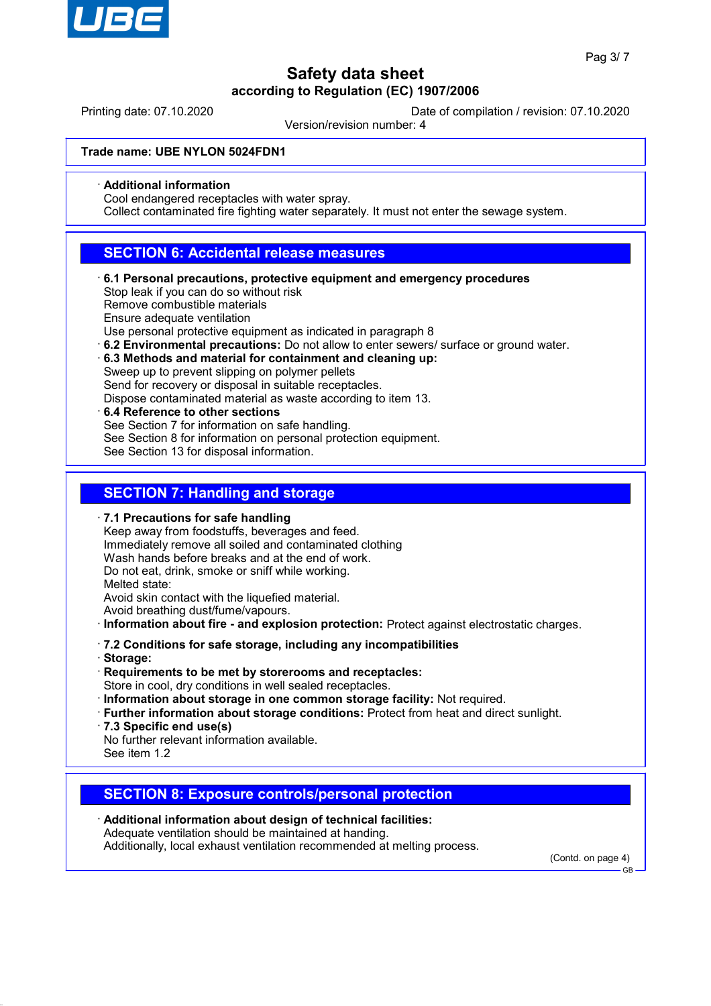

Printing date: 07.10.2020 Date of compilation / revision: 07.10.2020

Version/revision number: 4

### **Trade name: UBE NYLON 5024FDN1**

#### · **Additional information**

Cool endangered receptacles with water spray.

Collect contaminated fire fighting water separately. It must not enter the sewage system.

## **SECTION 6: Accidental release measures**

· **6.1 Personal precautions, protective equipment and emergency procedures** Stop leak if you can do so without risk

Remove combustible materials

Ensure adequate ventilation

Use personal protective equipment as indicated in paragraph 8

- · **6.2 Environmental precautions:** Do not allow to enter sewers/ surface or ground water.
- · **6.3 Methods and material for containment and cleaning up:** Sweep up to prevent slipping on polymer pellets Send for recovery or disposal in suitable receptacles.
	- Dispose contaminated material as waste according to item 13.
- · **6.4 Reference to other sections** See Section 7 for information on safe handling. See Section 8 for information on personal protection equipment. See Section 13 for disposal information.

## **SECTION 7: Handling and storage**

- · **7.1 Precautions for safe handling**
- Keep away from foodstuffs, beverages and feed. Immediately remove all soiled and contaminated clothing Wash hands before breaks and at the end of work. Do not eat, drink, smoke or sniff while working. Melted state: Avoid skin contact with the liquefied material. Avoid breathing dust/fume/vapours.
- · **Information about fire and explosion protection:** Protect against electrostatic charges.
- · **7.2 Conditions for safe storage, including any incompatibilities**
- · **Storage:**
- · **Requirements to be met by storerooms and receptacles:** Store in cool, dry conditions in well sealed receptacles.
- · **Information about storage in one common storage facility:** Not required.
- · **Further information about storage conditions:** Protect from heat and direct sunlight.
- · **7.3 Specific end use(s)**

No further relevant information available. See item 1.2

## **SECTION 8: Exposure controls/personal protection**

· **Additional information about design of technical facilities:** Adequate ventilation should be maintained at handing. Additionally, local exhaust ventilation recommended at melting process.

(Contd. on page 4)

GB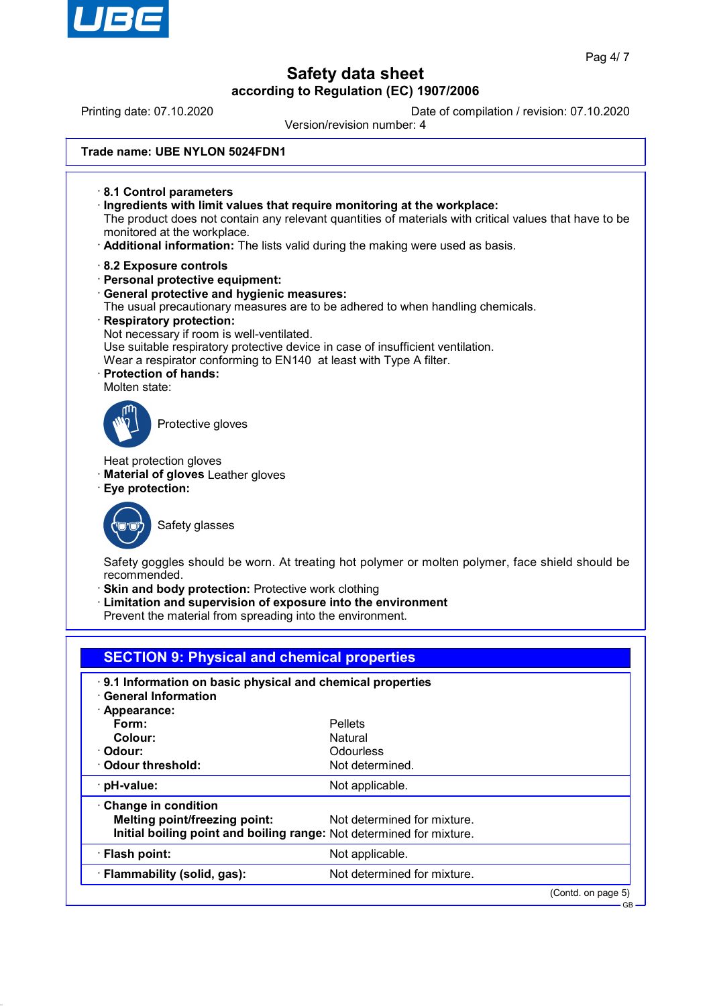

Printing date: 07.10.2020 Date of compilation / revision: 07.10.2020

Version/revision number: 4

| Trade name: UBE NYLON 5024FDN1 |
|--------------------------------|
|--------------------------------|

- · **8.1 Control parameters** · **Ingredients with limit values that require monitoring at the workplace:** The product does not contain any relevant quantities of materials with critical values that have to be monitored at the workplace. · **Additional information:** The lists valid during the making were used as basis.
- · **8.2 Exposure controls**
- · **Personal protective equipment:**
- · **General protective and hygienic measures:**
- The usual precautionary measures are to be adhered to when handling chemicals.
- · **Respiratory protection:** Not necessary if room is well-ventilated. Use suitable respiratory protective device in case of insufficient ventilation. Wear a respirator conforming to EN140 at least with Type A filter.
- · **Protection of hands:** Molten state:



Protective gloves

Heat protection gloves

· **Material of gloves** Leather gloves

· **Eye protection:**



Safety glasses

Safety goggles should be worn. At treating hot polymer or molten polymer, face shield should be recommended.

**Skin and body protection: Protective work clothing** 

Limitation and supervision of exposure into the environment

Prevent the material from spreading into the environment.

| <b>SECTION 9: Physical and chemical properties</b>                   |                             |                    |  |  |
|----------------------------------------------------------------------|-----------------------------|--------------------|--|--|
| . 9.1 Information on basic physical and chemical properties          |                             |                    |  |  |
| $\cdot$ General Information                                          |                             |                    |  |  |
| · Appearance:                                                        |                             |                    |  |  |
| Form:                                                                | <b>Pellets</b>              |                    |  |  |
| Colour:                                                              | Natural                     |                    |  |  |
| · Odour:                                                             | Odourless                   |                    |  |  |
| $\cdot$ Odour threshold:                                             | Not determined.             |                    |  |  |
| · pH-value:                                                          | Not applicable.             |                    |  |  |
| Change in condition                                                  |                             |                    |  |  |
| <b>Melting point/freezing point:</b>                                 | Not determined for mixture. |                    |  |  |
| Initial boiling point and boiling range: Not determined for mixture. |                             |                    |  |  |
| · Flash point:                                                       | Not applicable.             |                    |  |  |
| · Flammability (solid, gas):                                         | Not determined for mixture. |                    |  |  |
|                                                                      |                             | (Contd. on page 5) |  |  |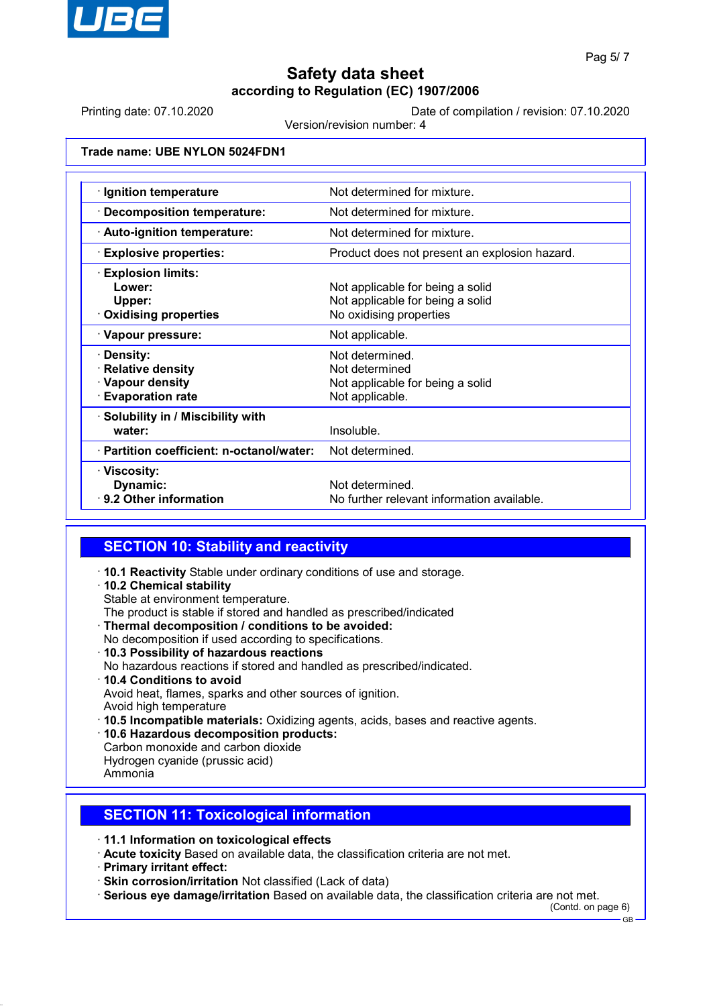

Printing date: 07.10.2020 Date of compilation / revision: 07.10.2020

Version/revision number: 4

### **Trade name: UBE NYLON 5024FDN1**

| · Ignition temperature                    | Not determined for mixture.                   |  |  |
|-------------------------------------------|-----------------------------------------------|--|--|
| · Decomposition temperature:              | Not determined for mixture.                   |  |  |
| · Auto-ignition temperature:              | Not determined for mixture.                   |  |  |
| <b>Explosive properties:</b>              | Product does not present an explosion hazard. |  |  |
| <b>Explosion limits:</b>                  |                                               |  |  |
| Lower:                                    | Not applicable for being a solid              |  |  |
| Upper:                                    | Not applicable for being a solid              |  |  |
| $\cdot$ Oxidising properties              | No oxidising properties                       |  |  |
| · Vapour pressure:                        | Not applicable.                               |  |  |
| · Density:                                | Not determined.                               |  |  |
| · Relative density                        | Not determined                                |  |  |
| · Vapour density                          | Not applicable for being a solid              |  |  |
| <b>Evaporation rate</b>                   | Not applicable.                               |  |  |
| · Solubility in / Miscibility with        |                                               |  |  |
| water:                                    | Insoluble.                                    |  |  |
| · Partition coefficient: n-octanol/water: | Not determined.                               |  |  |
| · Viscosity:                              |                                               |  |  |
| Dynamic:                                  | Not determined.                               |  |  |
| ⋅ 9.2 Other information                   | No further relevant information available.    |  |  |

## **SECTION 10: Stability and reactivity**

- · **10.1 Reactivity** Stable under ordinary conditions of use and storage.
- · **10.2 Chemical stability**
- Stable at environment temperature.
- The product is stable if stored and handled as prescribed/indicated
- · **Thermal decomposition / conditions to be avoided:** No decomposition if used according to specifications.
- · **10.3 Possibility of hazardous reactions** No hazardous reactions if stored and handled as prescribed/indicated. · **10.4 Conditions to avoid** Avoid heat, flames, sparks and other sources of ignition. Avoid high temperature
- · **10.5 Incompatible materials:** Oxidizing agents, acids, bases and reactive agents.
- · **10.6 Hazardous decomposition products:**
- Carbon monoxide and carbon dioxide
- Hydrogen cyanide (prussic acid)
- Ammonia

## **SECTION 11: Toxicological information**

- · **11.1 Information on toxicological effects**
- · **Acute toxicity** Based on available data, the classification criteria are not met.
- · **Primary irritant effect:**
- · **Skin corrosion/irritation** Not classified (Lack of data)
- · **Serious eye damage/irritation** Based on available data, the classification criteria are not met.

(Contd. on page 6)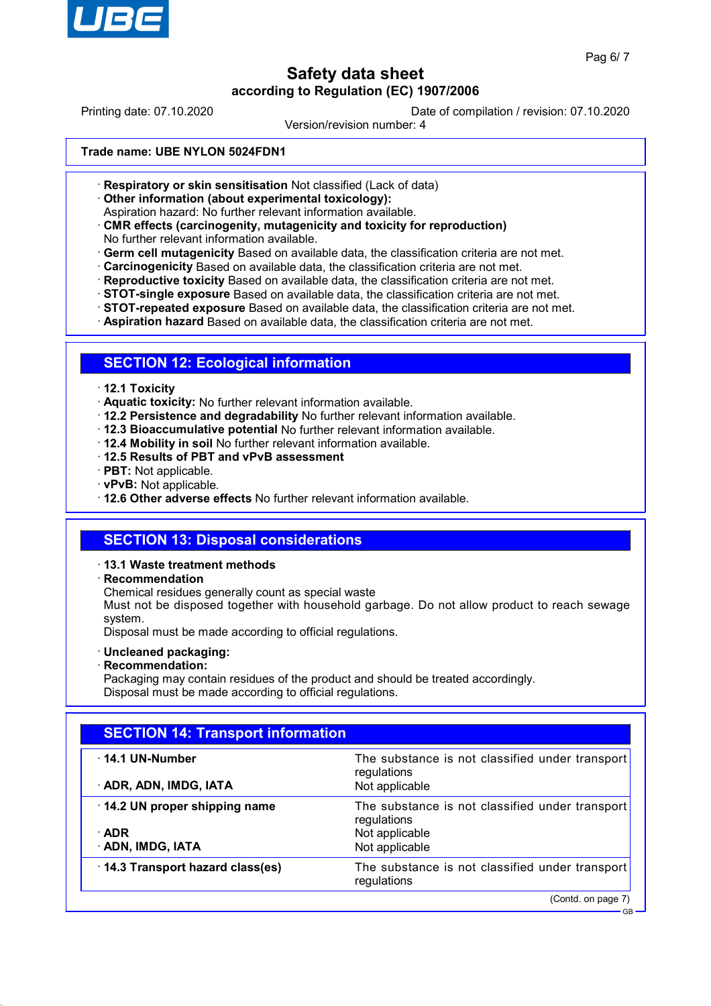

GB

## **Safety data sheet according to Regulation (EC) 1907/2006**

Printing date: 07.10.2020 Date of compilation / revision: 07.10.2020

Version/revision number: 4

#### **Trade name: UBE NYLON 5024FDN1**

- · **Respiratory or skin sensitisation** Not classified (Lack of data)
- · **Other information (about experimental toxicology):**

Aspiration hazard: No further relevant information available.

· **CMR effects (carcinogenity, mutagenicity and toxicity for reproduction)** No further relevant information available.

· **Germ cell mutagenicity** Based on available data, the classification criteria are not met.

- · **Carcinogenicity** Based on available data, the classification criteria are not met.
- · **Reproductive toxicity** Based on available data, the classification criteria are not met.
- · **STOT-single exposure** Based on available data, the classification criteria are not met.
- · **STOT-repeated exposure** Based on available data, the classification criteria are not met.
- · **Aspiration hazard** Based on available data, the classification criteria are not met.

## **SECTION 12: Ecological information**

- · **12.1 Toxicity**
- · **Aquatic toxicity:** No further relevant information available.
- · **12.2 Persistence and degradability** No further relevant information available.
- · **12.3 Bioaccumulative potential** No further relevant information available.
- · **12.4 Mobility in soil** No further relevant information available.
- · **12.5 Results of PBT and vPvB assessment**
- · **PBT:** Not applicable.
- · **vPvB:** Not applicable.

· **12.6 Other adverse effects** No further relevant information available.

## **SECTION 13: Disposal considerations**

### · **13.1 Waste treatment methods**

· **Recommendation**

Chemical residues generally count as special waste

Must not be disposed together with household garbage. Do not allow product to reach sewage system.

Disposal must be made according to official regulations.

- · **Uncleaned packaging:**
- · **Recommendation:**

Packaging may contain residues of the product and should be treated accordingly. Disposal must be made according to official regulations.

| <b>SECTION 14: Transport information</b>                         |                                                                                                    |  |  |
|------------------------------------------------------------------|----------------------------------------------------------------------------------------------------|--|--|
| $\cdot$ 14.1 UN-Number<br>· ADR, ADN, IMDG, IATA                 | The substance is not classified under transport<br>regulations<br>Not applicable                   |  |  |
| 14.2 UN proper shipping name<br>$\cdot$ ADR<br>· ADN, IMDG, IATA | The substance is not classified under transport<br>regulations<br>Not applicable<br>Not applicable |  |  |
| $\cdot$ 14.3 Transport hazard class(es)                          | The substance is not classified under transport<br>regulations                                     |  |  |
|                                                                  | (Contd. on page 7)                                                                                 |  |  |